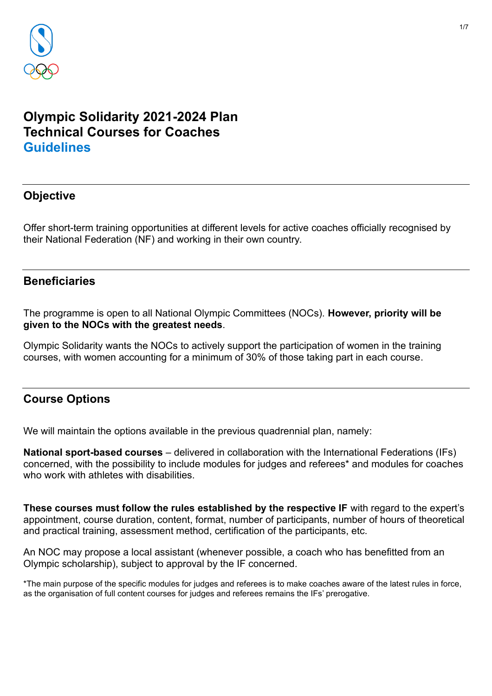

# **Olympic Solidarity 2021-2024 Plan Technical Courses for Coaches Guidelines**

## **Objective**

Offer short-term training opportunities at different levels for active coaches officially recognised by their National Federation (NF) and working in their own country.

### **Beneficiaries**

The programme is open to all National Olympic Committees (NOCs). **However, priority will be given to the NOCs with the greatest needs**.

Olympic Solidarity wants the NOCs to actively support the participation of women in the training courses, with women accounting for a minimum of 30% of those taking part in each course.

## **Course Options**

We will maintain the options available in the previous quadrennial plan, namely:

**National sport-based courses** – delivered in collaboration with the International Federations (IFs) concerned, with the possibility to include modules for judges and referees\* and modules for coaches who work with athletes with disabilities.

**These courses must follow the rules established by the respective IF** with regard to the expert's appointment, course duration, content, format, number of participants, number of hours of theoretical and practical training, assessment method, certification of the participants, etc.

An NOC may propose a local assistant (whenever possible, a coach who has benefitted from an Olympic scholarship), subject to approval by the IF concerned.

\*The main purpose of the specific modules for judges and referees is to make coaches aware of the latest rules in force, as the organisation of full content courses for judges and referees remains the IFs' prerogative.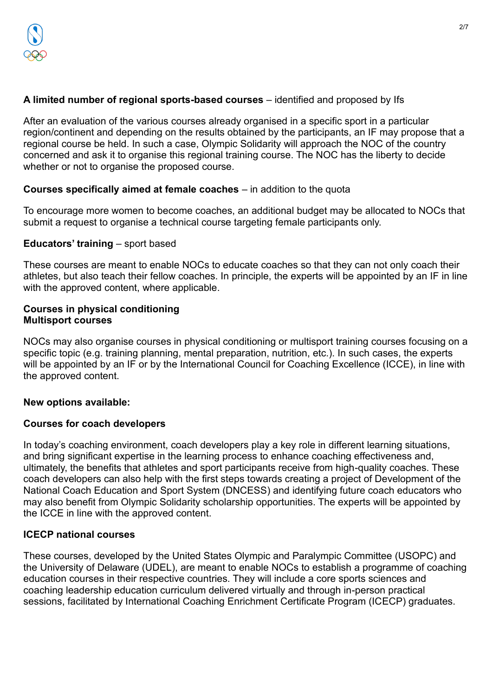### **A limited number of regional sports-based courses** – identified and proposed by Ifs

After an evaluation of the various courses already organised in a specific sport in a particular region/continent and depending on the results obtained by the participants, an IF may propose that a regional course be held. In such a case, Olympic Solidarity will approach the NOC of the country concerned and ask it to organise this regional training course. The NOC has the liberty to decide whether or not to organise the proposed course.

### **Courses specifically aimed at female coaches** – in addition to the quota

To encourage more women to become coaches, an additional budget may be allocated to NOCs that submit a request to organise a technical course targeting female participants only.

### **Educators' training** – sport based

These courses are meant to enable NOCs to educate coaches so that they can not only coach their athletes, but also teach their fellow coaches. In principle, the experts will be appointed by an IF in line with the approved content, where applicable.

#### **Courses in physical conditioning Multisport courses**

NOCs may also organise courses in physical conditioning or multisport training courses focusing on a specific topic (e.g. training planning, mental preparation, nutrition, etc.). In such cases, the experts will be appointed by an IF or by the International Council for Coaching Excellence (ICCE), in line with the approved content.

### **New options available:**

### **Courses for coach developers**

In today's coaching environment, coach developers play a key role in different learning situations, and bring significant expertise in the learning process to enhance coaching effectiveness and, ultimately, the benefits that athletes and sport participants receive from high-quality coaches. These coach developers can also help with the first steps towards creating a project of Development of the National Coach Education and Sport System (DNCESS) and identifying future coach educators who may also benefit from Olympic Solidarity scholarship opportunities. The experts will be appointed by the ICCE in line with the approved content.

### **ICECP national courses**

These courses, developed by the United States Olympic and Paralympic Committee (USOPC) and the University of Delaware (UDEL), are meant to enable NOCs to establish a programme of coaching education courses in their respective countries. They will include a core sports sciences and coaching leadership education curriculum delivered virtually and through in-person practical sessions, facilitated by International Coaching Enrichment Certificate Program (ICECP) graduates.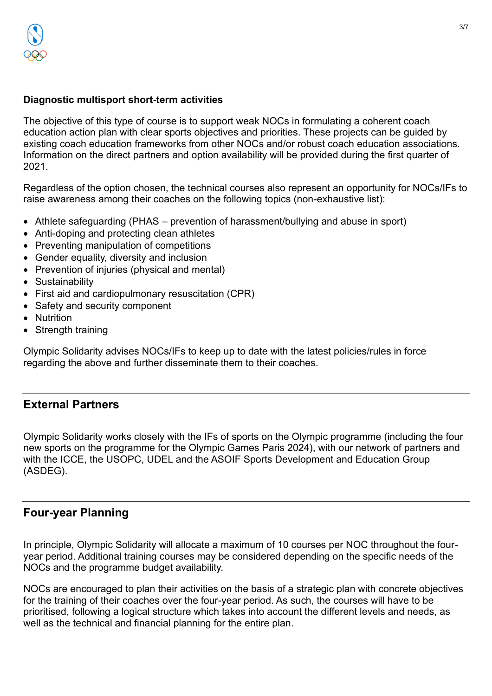### **Diagnostic multisport short-term activities**

The objective of this type of course is to support weak NOCs in formulating a coherent coach education action plan with clear sports objectives and priorities. These projects can be guided by existing coach education frameworks from other NOCs and/or robust coach education associations. Information on the direct partners and option availability will be provided during the first quarter of 2021.

Regardless of the option chosen, the technical courses also represent an opportunity for NOCs/IFs to raise awareness among their coaches on the following topics (non-exhaustive list):

- Athlete safeguarding (PHAS prevention of harassment/bullying and abuse in sport)
- Anti-doping and protecting clean athletes
- Preventing manipulation of competitions
- Gender equality, diversity and inclusion
- Prevention of injuries (physical and mental)
- Sustainability
- First aid and cardiopulmonary resuscitation (CPR)
- Safety and security component
- Nutrition
- Strength training

Olympic Solidarity advises NOCs/IFs to keep up to date with the latest policies/rules in force regarding the above and further disseminate them to their coaches.

## **External Partners**

Olympic Solidarity works closely with the IFs of sports on the Olympic programme (including the four new sports on the programme for the Olympic Games Paris 2024), with our network of partners and with the ICCE, the USOPC, UDEL and the ASOIF Sports Development and Education Group (ASDEG).

## **Four-year Planning**

In principle, Olympic Solidarity will allocate a maximum of 10 courses per NOC throughout the fouryear period. Additional training courses may be considered depending on the specific needs of the NOCs and the programme budget availability.

NOCs are encouraged to plan their activities on the basis of a strategic plan with concrete objectives for the training of their coaches over the four-year period. As such, the courses will have to be prioritised, following a logical structure which takes into account the different levels and needs, as well as the technical and financial planning for the entire plan.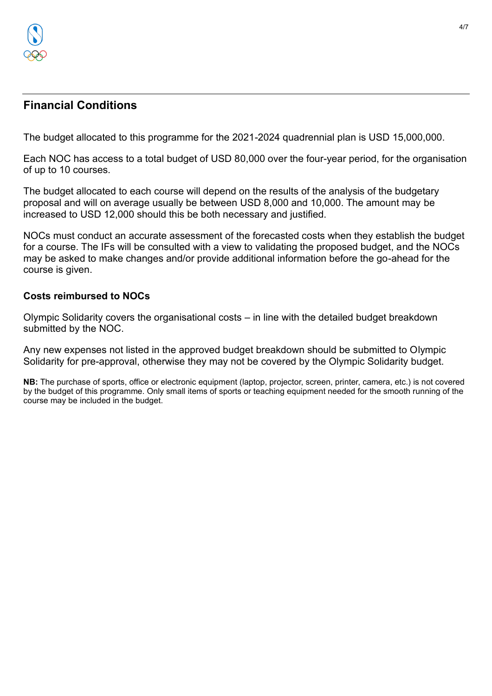

## **Financial Conditions**

The budget allocated to this programme for the 2021-2024 quadrennial plan is USD 15,000,000.

Each NOC has access to a total budget of USD 80,000 over the four-year period, for the organisation of up to 10 courses.

The budget allocated to each course will depend on the results of the analysis of the budgetary proposal and will on average usually be between USD 8,000 and 10,000. The amount may be increased to USD 12,000 should this be both necessary and justified.

NOCs must conduct an accurate assessment of the forecasted costs when they establish the budget for a course. The IFs will be consulted with a view to validating the proposed budget, and the NOCs may be asked to make changes and/or provide additional information before the go-ahead for the course is given.

#### **Costs reimbursed to NOCs**

Olympic Solidarity covers the organisational costs – in line with the detailed budget breakdown submitted by the NOC.

Any new expenses not listed in the approved budget breakdown should be submitted to Olympic Solidarity for pre-approval, otherwise they may not be covered by the Olympic Solidarity budget.

**NB:** The purchase of sports, office or electronic equipment (laptop, projector, screen, printer, camera, etc.) is not covered by the budget of this programme. Only small items of sports or teaching equipment needed for the smooth running of the course may be included in the budget.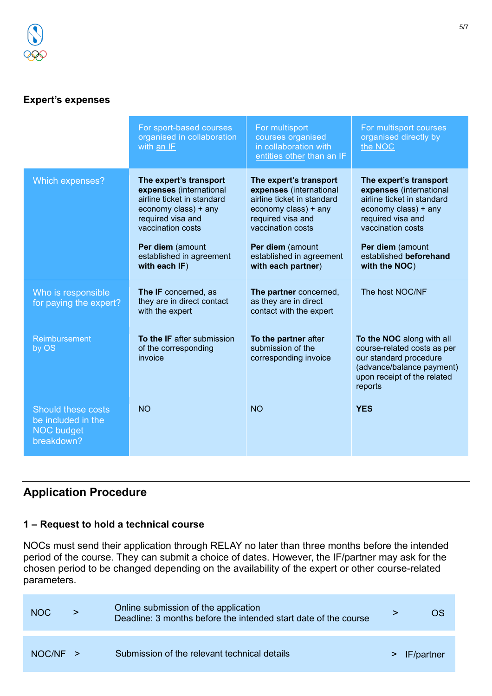## **Expert's expenses**

|                                                                             | For sport-based courses<br>organised in collaboration<br>with an IF                                                                                                                                                | For multisport<br>courses organised<br>in collaboration with<br>entities other than an IF                                                                                                                               | For multisport courses<br>organised directly by<br>the NOC                                                                                                                                                       |
|-----------------------------------------------------------------------------|--------------------------------------------------------------------------------------------------------------------------------------------------------------------------------------------------------------------|-------------------------------------------------------------------------------------------------------------------------------------------------------------------------------------------------------------------------|------------------------------------------------------------------------------------------------------------------------------------------------------------------------------------------------------------------|
| Which expenses?                                                             | The expert's transport<br>expenses (international<br>airline ticket in standard<br>economy class) + any<br>required visa and<br>vaccination costs<br>Per diem (amount<br>established in agreement<br>with each IF) | The expert's transport<br>expenses (international<br>airline ticket in standard<br>economy class) + any<br>required visa and<br>vaccination costs<br>Per diem (amount<br>established in agreement<br>with each partner) | The expert's transport<br>expenses (international<br>airline ticket in standard<br>economy class) + any<br>required visa and<br>vaccination costs<br>Per diem (amount<br>established beforehand<br>with the NOC) |
| Who is responsible<br>for paying the expert?                                | The IF concerned, as<br>they are in direct contact<br>with the expert                                                                                                                                              | The partner concerned,<br>as they are in direct<br>contact with the expert                                                                                                                                              | The host NOC/NF                                                                                                                                                                                                  |
| Reimbursement<br>by OS                                                      | <b>To the IF after submission</b><br>of the corresponding<br>invoice                                                                                                                                               | To the partner after<br>submission of the<br>corresponding invoice                                                                                                                                                      | To the NOC along with all<br>course-related costs as per<br>our standard procedure<br>(advance/balance payment)<br>upon receipt of the related<br>reports                                                        |
| Should these costs<br>be included in the<br><b>NOC budget</b><br>breakdown? | <b>NO</b>                                                                                                                                                                                                          | <b>NO</b>                                                                                                                                                                                                               | <b>YES</b>                                                                                                                                                                                                       |

# **Application Procedure**

# **1 – Request to hold a technical course**

NOCs must send their application through RELAY no later than three months before the intended period of the course. They can submit a choice of dates. However, the IF/partner may ask for the chosen period to be changed depending on the availability of the expert or other course-related parameters.

| <b>NOC</b> | Online submission of the application<br>Deadline: 3 months before the intended start date of the course | OS             |
|------------|---------------------------------------------------------------------------------------------------------|----------------|
| $NOC/NF$ > | Submission of the relevant technical details                                                            | $>$ IF/partner |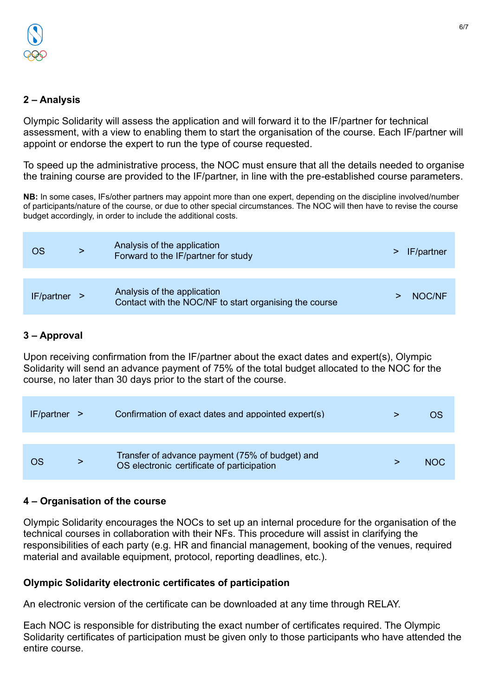### **2 – Analysis**

Olympic Solidarity will assess the application and will forward it to the IF/partner for technical assessment, with a view to enabling them to start the organisation of the course. Each IF/partner will appoint or endorse the expert to run the type of course requested.

To speed up the administrative process, the NOC must ensure that all the details needed to organise the training course are provided to the IF/partner, in line with the pre-established course parameters.

**NB:** In some cases, IFs/other partners may appoint more than one expert, depending on the discipline involved/number of participants/nature of the course, or due to other special circumstances. The NOC will then have to revise the course budget accordingly, in order to include the additional costs.

| OS           | Analysis of the application<br>Forward to the IF/partner for study                    | IF/partner |
|--------------|---------------------------------------------------------------------------------------|------------|
| IF/partner > | Analysis of the application<br>Contact with the NOC/NF to start organising the course | NOC/NF     |

### **3 – Approval**

Upon receiving confirmation from the IF/partner about the exact dates and expert(s), Olympic Solidarity will send an advance payment of 75% of the total budget allocated to the NOC for the course, no later than 30 days prior to the start of the course.

| $IF/partner$ > | Confirmation of exact dates and appointed expert(s)                                           | OS   |
|----------------|-----------------------------------------------------------------------------------------------|------|
|                |                                                                                               |      |
| OS             | Transfer of advance payment (75% of budget) and<br>OS electronic certificate of participation | NOC. |

### **4 – Organisation of the course**

Olympic Solidarity encourages the NOCs to set up an internal procedure for the organisation of the technical courses in collaboration with their NFs. This procedure will assist in clarifying the responsibilities of each party (e.g. HR and financial management, booking of the venues, required material and available equipment, protocol, reporting deadlines, etc.).

## **Olympic Solidarity electronic certificates of participation**

An electronic version of the certificate can be downloaded at any time through RELAY.

Each NOC is responsible for distributing the exact number of certificates required. The Olympic Solidarity certificates of participation must be given only to those participants who have attended the entire course.